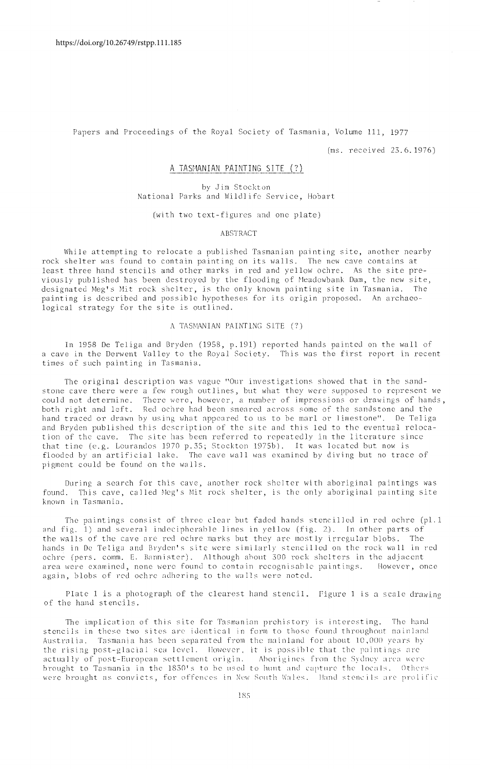Papers and Proceedings of the Royal Society of Tasmania, Volume 111, 1977

(ms. received 23.6.1976)

# A TASMANIAN PAINTING SITE (?)

by <Jim Stockton National Parks and Wildlife Service, Hobart

(with two text-figures and one plate)

#### ABSTRACT

While attempting to relocate a published Tasmanian painting site, another nearby rock shelter was found to contain painting on its walls. The new cave contains at least three hand stencils and other marks in red and yellow ochre. As the site previously published has been destroyed by the flooding of Meadowbank Dam, the new site, designated Meg's Mit rock shelter, is the only known painting site in Tasmania. The painting is described and possible hypotheses for its origin proposed. An archaeological strategy for the site is outlined.

#### A TASMANIAN PAINTING SITE (?)

In 1958 De Teliga and Bryden (1958, p.191) reported hands painted on the wall of a cave in the Derwent Valley to the Royal Society. This was the first report in recent times of such painting in Tasmania.

The original description was vague "Our investigations showed that in the sandstone cave there were a few rough outlines, but what they were supposed to represent *we*  could not determine. There were, however, a number of impressions or drawings of hands, both right and left. Red ochre had been smeared across some of the sandstone and the hand traced or drawn bv using what appeared to us to be marl or limestone". De Teliga and Bryden published this description of the site and this led to the eventual relocation of the cave. The site has been referred to repeatedly in the literature since that time (e.g. Lourandos 1970 p.35: Stockton 1975b). It was located but now is flooded by an artificial lake. The cave wall was examined by diving but no trace of pigment could be found on the walls.

During a search for this cave, another rock shelter with aboriginal paintings was found. This cave, called Meg's Mit rock shelter, is the only aboriginal painting site known in Tasmania.

The paintings consist of three clear hut faded hands stencilled in red ochre (pl.l and fig. 1) and several indecipherable lines in yellow (fig. 2). In other parts of the walls of the cave are red ochre marks but they arc mostly irregular blobs. The hands in De Tcliga and Bryden's site were similarly stencilled on the rock wall in red ochre (pers. comm. E. Bannister). Although about 300 rock shelters in the adjacent area were examined, none were found to contain recognisable paintings. However, once again, blobs of red ochre adhering to the walls were noted.

Plate 1 is a photograph of the clearest hand stencil. Figure 1 is a scale drawing of the hand stencils.

The implication of this site for Tasmanian prehistory is interesting. The hand stencils in these two sites are identical in form to those found throughout mainland Australia. Tasmania has been separated from the mainland for about  $10,000$  years by the rising post-glacial sea level. However, it is possible that the paintings are actually of post-European settlement origin. Aborigines from the Sydney area were brought to Tasmania in the 1830's to be used to hunt and capture the locals. Others were brought as convicts, for offences in New South Wales. I land stencils are prolific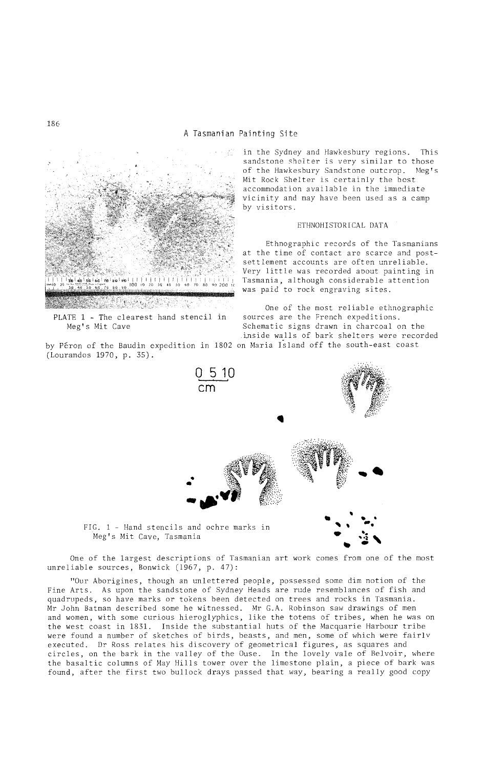

PLATE 1 - The clearest hand stencil in Meg's Mit Cave

by Peron of the Baudin expedition in 1802 on Maria Island off the south-east coast (Lourandos 1970, p. 35).

in the Sydney and Hawkesbury regions. This sandstone shelter is very similar to those<br>of the Hawkesbury Sandstone outcrop. Meg's of the Hawkesbury Sandstone outcrop. Mit Rock Shelter is certainly the best accommodation available in the immediate vicinity and may have been used as a camp by visitors.

#### ETHNOHISTORICAL DATA

Ethnographic records of the Tasmanians at the time of contact are scarce and postsettlement accounts are often unreliable. Very little was recorded about painting in Tasmania, although considerable attention was paid to rock engraving sites.

One of the most reliable ethnographic<br>sources are the French expeditions. Schematic signs drawn in charcoal on the inside walls of bark shelters were recorded



FIG. 1 - Hand stencils and ochre marks in Meg's Mit Cave, Tasmania

One of the largest descriptions of Tasmanian art work comes from one of the most unreliable sources, Bonwick (1967, p. 47):

"Our Aborigines, though an unlettered people, possessed some dim notion of the Fine Arts. As upon the sandstone of Sydney Heads are rude resemblances of fish and quadrupeds, so have marks or tokens been detected on trees and rocks in Tasmania. Mr John Batman described some he witnessed. Mr G.A. Robinson saw drawings of men and women, with some curious hieroglyphics, like the totems of tribes, when he was on the west coast in 1831. Inside the substantial huts of the Macquarie Harbour tribe were found a number of sketches of birds, beasts, and men, some of which were fairly executed. Dr Ross relates his discovery of geometrical figures, as squares and circles, on the bark in the valley of the Ouse. In the lovely vale of Belvoir, where the basaltic columns of May Hills tower over the limestone plain, a piece of bark was found, after the first two bullock drays passed that way, bearing a really good copy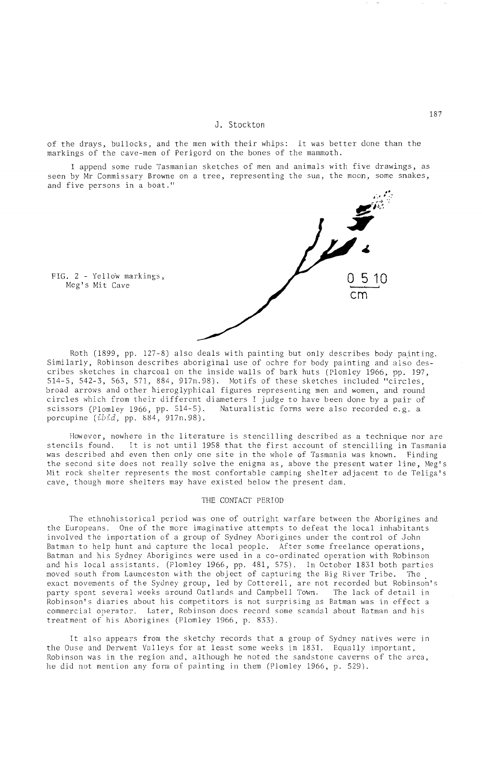### J. Stockton

of the drays, bullocks, and the men with their whips: it was better done than the markings of the cave-men of Perigord on the bones of the mammoth.

I append some rude Tasmanian sketches of men and animals with five drawings, as seen by Mr Commissary Browne on a tree, representing the sun, the moon, some snakes, and five persons in a boat."

FIG. 2 - Yellow markings, 0 5 10 em

Roth (1899, pp. 127-8) also deals with painting but only describes body painting. Similarly, Robinson describes aboriginal use of ochre for body painting and also describes sketches in charcoal on the inside walls of bark huts (Plomley 1966, pp. 197, 514-5, 542-3, 563, 571, 884, 917n.98). Motifs of these sketches included "circles, broad arrows and other hieroglyphical figures representing men and women, and round circles which from their different diameters I judge to have been done by a pair of scissors (Plomley 1966, pp. 514-5). Naturalistic forms were also recorded e.g. a porcupine  $(ibid, pp. 884, 917n.98)$ .

However, nowhere in the literature is stencilling described as a technique nor are stencils found. It is not until 1958 that the first account of stencilling in Tasmania was described and even then only one site in the whole of Tasmania was known. Finding the second site docs not really solve the enigma as, above the present water line, Meg's Mit rock shelter represents the most confortable camping shelter adjacent to de Teliga's cave, though more shelters may have existed below the present dam.

#### THE CONTACT PERIOD

The ethnohistorical period was one of outright warfare between the Aborigines and the Europeans. One of the more imaginative attempts to defeat the local inhabitants involved the importation of a group of Sydney Aborigines under the control of John Batman to help hunt and capture the local people. After some freelance operations, Batman and his Sydney Aborigines were used in a co-ordinated operation with Robinson and his local assistants. (Plomley 1966, pp. 481, 575). In October 1831 both parties moved south from Launceston with the object of capturing the Big River Tribe. The exact movements of the Sydney group, led by Cotterell, are not recorded but Robinson's party spent several weeks around Oatlands and Campbell Town. The lack of detail in Robinson's diaries about his competitors is not surprising as Batman was in effect a commercial operator. Later, Robinson does record some scandal about Batman and his treatment of his Aborigines (Plomley 1966, p. 833).

It also appears from the sketchy records that a group of Sydney natives were in the Ouse and Derwent Valleys for at least some weeks in 1831. Equally important, Robinson was in the region and. although he noted the sandstone caverns of the area, he did not mention any form of painting in them (Plomley 1966, p. 529).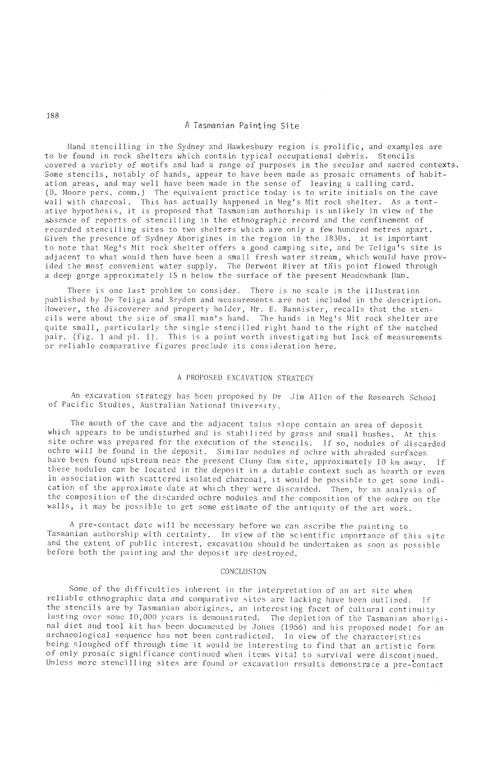#### A Tasmanian Painting Site

Hand stencilling in the Sydney and Hawkesbury region is prolific, and examples are to be found in rock shelters which contain typical occupational debris. Stencils covered a variety of motifs and had a range of purposes in the secular and sacred contexts. Some stencils, notably of hands, appear to have been made as prosaic ornaments of habitation areas, and may well have been made in the sense of leaving a calling card. (D. Moore pers. cornm.) The equivalent practice today is to write initials on the cave wall with charcoal. This has actually happened in Meg's Mit rock shelter. As a tentative hypothesis, it is proposed that Tasmanian authorship is unlikely in view of the absence of reports of stencilling in the ethnographic record and the confinement of recorded stencilling sites to two shelters which are only a few hundred metres apart. Given the presence of Sydney Ahorigines in the region in the 1830s, it is important to note that Meg's Mit rock shelter offers a good camping site, and De Teliga's site is adjacent to what would then have been a small fresh water stream, which would have provided the most convenient water supply. The Derwent River at this point flowed through a deep gorge approximately 15 m below the surface of the present Meadowbank Dam.

There is one last problem to consider. There is no scale in the illustration published by De Teliga and Bryden and measurements arc not included in the description. However, the discoverer and property holder, Mr. E. Bannister, recalls that the stencils were about the size of small man's hand. The hands in Meg's Mit rock shelter are quite small, particularly the single stencilled right hand to the right of the matched pair. (fig. 1 and pl. 1). This is a point worth invcstigating but lack of measurements or reliable comparative figures preclude its consideration here.

#### A PROPOSED EXCAVATION STRATEGY

An excavation strategy has been proposed by Dr Jim Allen of the Research School of Pacific Studies, Australian National University.

The mouth of the cave and the adjacent talus slope contain an area of deposit which appears to be undisturbed and is stabilized by grass and small bushes. At this site ochre was prepared for the execution of the stencils. If so, nodules of discarded ochre will be found in the deposit. Similar nodules of ochre with abraded surfaces have been found upstream near the present Cluny Dam site, approximately 10 km away. If thesc nodules can be located in the deposit in a datable context such as hearth or cven in association with scattered isolated charcoal, it would be possible to get some indication of the approximate date at which they were discarded. Then, by an analysis of the composition of the discarded ochre nodules and the composition of the ochre on the walls, it may be possible to get some estimate of thc antiquity of *the* art work.

A pre-contact date will be necessary before we can ascribe the painting to Tasmanian authorship with certainty. In view of the scientific importance of this sitc and the extent of public interest, excavation should be undertaken as soon as possible' before both the painting and the deposit are destroyed.

## CONCLUSION

Some of the difficulties inherent in the interpretation of an art site when reliable ethnographic data and comparative sites are lacking have been outlined. If the stencils are by Tasmanian aborigines, an interesting facet of cultural continuity lasting over some 10,000 years is demonstrated. The depletion of the Tasmanian aboriginal diet and tool kit has been documented by Jones (1966) and his proposed model for an archaeological sequence has not been contradicted. In view of the characteristics being Sloughed off through time it would be interesting to find that an artistic form of only prosaic significance continued when items vital to survival were discontinued. Unless more stencilling sites are found or excavation results demonstrate a pre-contact

188